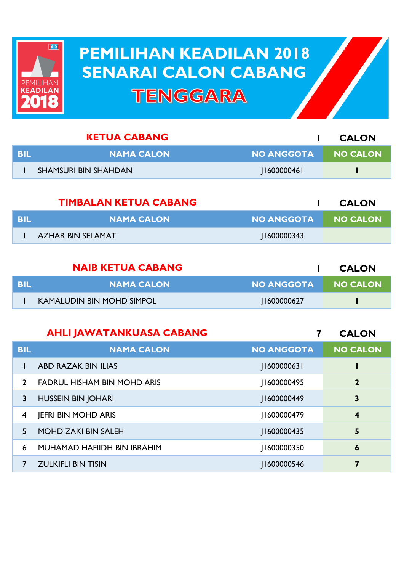

## **PEMILIHAN KEADILAN 2018 PEMILIHAN KEADILAN 2018 SENARAI CALON CABANG SENARAI CALON CABANGTENGGARA**

| <b>KETUA CABANG</b> |                             |                   | <b>CALON</b> |
|---------------------|-----------------------------|-------------------|--------------|
| BIL                 | <b>NAMA CALON</b>           | <b>NO ANGGOTA</b> | I NO CALON   |
|                     | <b>SHAMSURI BIN SHAHDAN</b> | [1600000461]      |              |
|                     |                             |                   |              |

|       | <b>TIMBALAN KETUA CABANG</b> |                     | <b>CALON</b> |
|-------|------------------------------|---------------------|--------------|
| - BIL | <b>NAMA CALON</b>            | NO ANGGOTA NO CALON |              |
|       | AZHAR BIN SELAMAT            | 1600000343          |              |

| <b>NAIB KETUA CABANG</b> |                                  |                   | <b>CALON</b>    |
|--------------------------|----------------------------------|-------------------|-----------------|
| - BIL                    | <b>NAMA CALON</b>                | <b>NO ANGGOTA</b> | <b>NO CALON</b> |
|                          | <b>KAMALUDIN BIN MOHD SIMPOL</b> | 1600000627        |                 |

## **AHLI JAWATANKUASA CABANG**

**7 CALON**

| <b>BIL</b> | <b>NAMA CALON</b>                  | <b>NO ANGGOTA</b> | <b>NO CALON</b>         |
|------------|------------------------------------|-------------------|-------------------------|
|            | <b>ABD RAZAK BIN ILIAS</b>         | 160000063         |                         |
| 2          | <b>FADRUL HISHAM BIN MOHD ARIS</b> | 1600000495        | $\mathbf{2}$            |
| 3          | <b>HUSSEIN BIN JOHARI</b>          | 1600000449        | 3                       |
| 4          | <b>JEFRI BIN MOHD ARIS</b>         | 1600000479        | $\overline{\mathbf{4}}$ |
| 5.         | <b>MOHD ZAKI BIN SALEH</b>         | J1600000435       | 5                       |
| 6          | MUHAMAD HAFIIDH BIN IBRAHIM        | 1600000350        | 6                       |
|            | <b>ZULKIFLI BIN TISIN</b>          | 1600000546        | 7                       |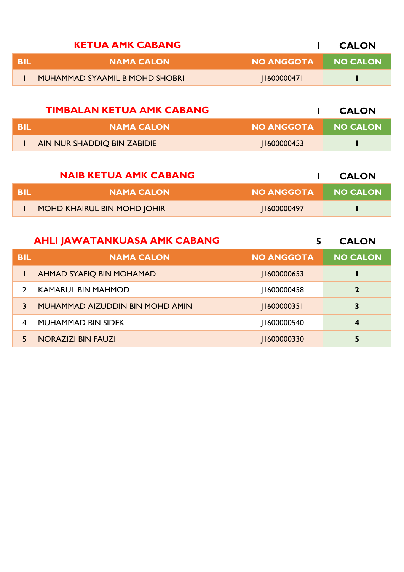| <b>KETUA AMK CABANG</b> |                                |                   | <b>CALON</b>    |
|-------------------------|--------------------------------|-------------------|-----------------|
| -RII                    | <b>NAMA CALON</b>              | <b>NO ANGGOTA</b> | <b>NO CALON</b> |
|                         | MUHAMMAD SYAAMIL B MOHD SHOBRI | 160000047         |                 |

|     | <b>TIMBALAN KETUA AMK CABANG</b> |                   | <b>CALON</b>    |
|-----|----------------------------------|-------------------|-----------------|
| BIL | <b>NAMA CALON</b>                | <b>NO ANGGOTA</b> | <b>NO CALON</b> |
|     | AIN NUR SHADDIQ BIN ZABIDIE      | 1600000453        |                 |

| <b>NAIB KETUA AMK CABANG</b> |                             |            | <b>CALON</b>    |
|------------------------------|-----------------------------|------------|-----------------|
| BIL                          | <b>NAMA CALON</b>           | NO ANGGOTA | <b>NO CALON</b> |
|                              | MOHD KHAIRUL BIN MOHD JOHIR | 1600000497 |                 |

|            | <b>AHLI JAWATANKUASA AMK CABANG</b> |                    | <b>CALON</b>    |
|------------|-------------------------------------|--------------------|-----------------|
| <b>BIL</b> | <b>NAMA CALON</b>                   | <b>NO ANGGOTA</b>  | <b>NO CALON</b> |
|            | <b>AHMAD SYAFIQ BIN MOHAMAD</b>     | <b>II600000653</b> |                 |
|            | <b>KAMARUL BIN MAHMOD</b>           | 1600000458         | $\mathbf{2}$    |
| 3          | MUHAMMAD AIZUDDIN BIN MOHD AMIN     | [160000035]        | 3               |
| 4          | <b>MUHAMMAD BIN SIDEK</b>           | 1600000540         | 4               |
|            | <b>NORAZIZI BIN FAUZI</b>           | 11600000330        | 5               |